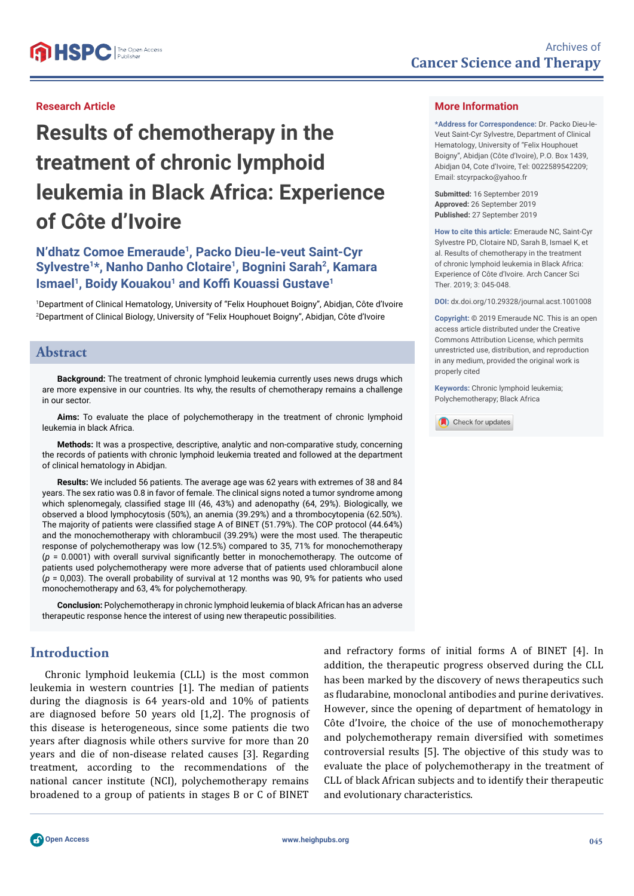# **Results of chemotherapy in the treatment of chronic lymphoid leukemia in Black Africa: Experience of Côte d'Ivoire**

# **N'dhatz Comoe Emeraude1, Packo Dieu-le-veut Saint-Cyr Sylvestre1\*, Nanho Danho Clotaire1, Bognini Sarah2, Kamara Ismael<sup>1</sup>, Boidy Kouakou<sup>1</sup> and Koffi Kouassi Gustave<sup>1</sup>**

1 Department of Clinical Hematology, University of "Felix Houphouet Boigny", Abidjan, Côte d'Ivoire 2 Department of Clinical Biology, University of "Felix Houphouet Boigny", Abidjan, Côte d'Ivoire

# **Abstract**

**Background:** The treatment of chronic lymphoid leukemia currently uses news drugs which are more expensive in our countries. Its why, the results of chemotherapy remains a challenge in our sector.

**Aims:** To evaluate the place of polychemotherapy in the treatment of chronic lymphoid leukemia in black Africa.

**Methods:** It was a prospective, descriptive, analytic and non-comparative study, concerning the records of patients with chronic lymphoid leukemia treated and followed at the department of clinical hematology in Abidjan.

**Results:** We included 56 patients. The average age was 62 years with extremes of 38 and 84 years. The sex ratio was 0.8 in favor of female. The clinical signs noted a tumor syndrome among which splenomegaly, classified stage III (46, 43%) and adenopathy (64, 29%). Biologically, we observed a blood lymphocytosis (50%), an anemia (39.29%) and a thrombocytopenia (62.50%). The majority of patients were classified stage A of BINET (51.79%). The COP protocol (44.64%) and the monochemotherapy with chlorambucil (39.29%) were the most used. The therapeutic response of polychemotherapy was low (12.5%) compared to 35, 71% for monochemotherapy  $(p = 0.0001)$  with overall survival significantly better in monochemotherapy. The outcome of patients used polychemotherapy were more adverse that of patients used chlorambucil alone (*p* = 0,003). The overall probability of survival at 12 months was 90, 9% for patients who used monochemotherapy and 63, 4% for polychemotherapy.

**Conclusion:** Polychemotherapy in chronic lymphoid leukemia of black African has an adverse therapeutic response hence the interest of using new therapeutic possibilities.

# **Introduction**

Chronic lymphoid leukemia (CLL) is the most common leukemia in western countries [1]. The median of patients during the diagnosis is 64 years-old and 10% of patients are diagnosed before 50 years old [1,2]. The prognosis of this disease is heterogeneous, since some patients die two years after diagnosis while others survive for more than 20 years and die of non-disease related causes [3]. Regarding treatment, according to the recommendations of the national cancer institute (NCI), polychemotherapy remains broadened to a group of patients in stages B or C of BINET

and refractory forms of initial forms A of BINET [4]. In addition, the therapeutic progress observed during the CLL has been marked by the discovery of news therapeutics such as fludarabine, monoclonal antibodies and purine derivatives. However, since the opening of department of hematology in Côte d'Ivoire, the choice of the use of monochemotherapy and polychemotherapy remain diversified with sometimes controversial results [5]. The objective of this study was to evaluate the place of polychemotherapy in the treatment of CLL of black African subjects and to identify their therapeutic and evolutionary characteristics.

#### **More Information**

**\*Address for Correspondence:** Dr. Packo Dieu-le-Veut Saint-Cyr Sylvestre, Department of Clinical Hematology, University of "Felix Houphouet Boigny", Abidjan (Côte d'Ivoire), P.O. Box 1439, Abidjan 04, Cote d'Ivoire, Tel: 0022589542209; Email: stcyrpacko@yahoo.fr

**Submitted:** 16 September 2019 **Approved:** 26 September 2019 **Published:** 27 September 2019

**How to cite this article:** Emeraude NC, Saint-Cyr Sylvestre PD, Clotaire ND, Sarah B, Ismael K, et al. Results of chemotherapy in the treatment of chronic lymphoid leukemia in Black Africa: Experience of Côte d'Ivoire. Arch Cancer Sci Ther. 2019; 3: 045-048.

**DOI:** dx.doi.org/10.29328/journal.acst.1001008

**Copyright: ©** 2019 Emeraude NC. This is an open access article distributed under the Creative Commons Attribution License, which permits unrestricted use, distribution, and reproduction in any medium, provided the original work is properly cited

**Keywords:** Chronic lymphoid leukemia; Polychemotherapy; Black Africa

Check for updates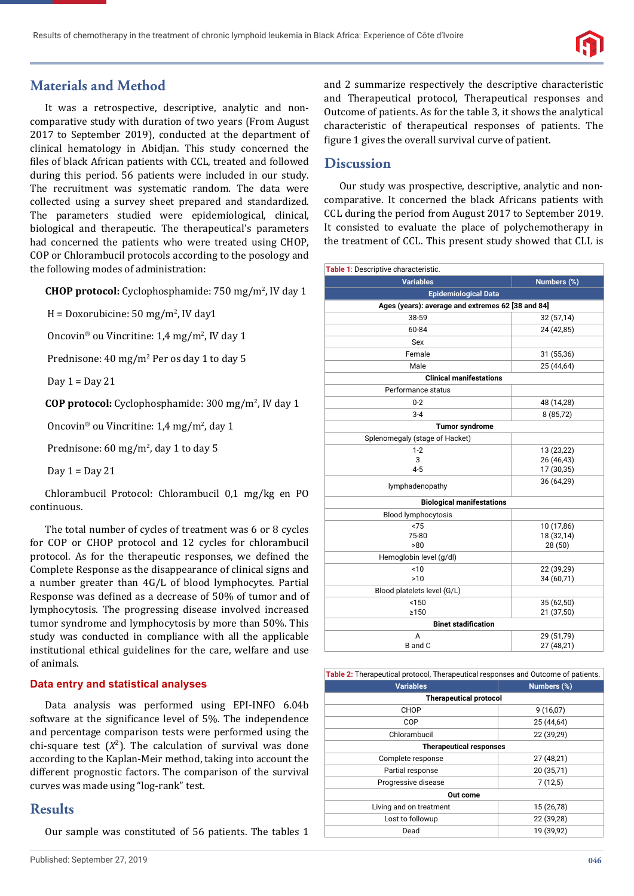# **Materials and Method**

It was a retrospective, descriptive, analytic and noncomparative study with duration of two years (From August 2017 to September 2019), conducted at the department of clinical hematology in Abidjan. This study concerned the files of black African patients with CCL, treated and followed during this period. 56 patients were included in our study. The recruitment was systematic random. The data were collected using a survey sheet prepared and standardized. The parameters studied were epidemiological, clinical, biological and therapeutic. The therapeutical's parameters had concerned the patients who were treated using CHOP, COP or Chlorambucil protocols according to the posology and the following modes of administration:

**CHOP protocol:** Cyclophosphamide: 750 mg/m2 , IV day 1

 $H = Dox$ orubicine: 50 mg/m<sup>2</sup>, IV day1

Oncovin<sup>®</sup> ou Vincritine: 1,4 mg/m<sup>2</sup>, IV day 1

Prednisone: 40 mg/m<sup>2</sup> Per os day 1 to day 5

Day  $1 =$  Day  $21$ 

**COP protocol:** Cyclophosphamide: 300 mg/m2 , IV day 1

Oncovin<sup>®</sup> ou Vincritine: 1,4 mg/m<sup>2</sup>, day 1

Prednisone: 60 mg/m<sup>2</sup>, day 1 to day 5

Day  $1 =$  Day  $21$ 

Chlorambucil Protocol: Chlorambucil 0,1 mg/kg en PO continuous.

The total number of cycles of treatment was 6 or 8 cycles for COP or CHOP protocol and 12 cycles for chlorambucil protocol. As for the therapeutic responses, we defined the Complete Response as the disappearance of clinical signs and a number greater than 4G/L of blood lymphocytes. Partial Response was defined as a decrease of 50% of tumor and of lymphocytosis. The progressing disease involved increased tumor syndrome and lymphocytosis by more than 50%. This study was conducted in compliance with all the applicable institutional ethical guidelines for the care, welfare and use of animals.

#### **Data entry and statistical analyses**

Data analysis was performed using EPI-INFO 6.04b software at the significance level of 5%. The independence and percentage comparison tests were performed using the chi-square test  $(X^2)$ . The calculation of survival was done according to the Kaplan-Meir method, taking into account the different prognostic factors. The comparison of the survival curves was made using "log-rank" test.

## **Results**

Our sample was constituted of 56 patients. The tables 1

and 2 summarize respectively the descriptive characteristic and Therapeutical protocol, Therapeutical responses and Outcome of patients. As for the table 3, it shows the analytical characteristic of therapeutical responses of patients. The figure 1 gives the overall survival curve of patient.

# **Discussion**

Our study was prospective, descriptive, analytic and noncomparative. It concerned the black Africans patients with CCL during the period from August 2017 to September 2019. It consisted to evaluate the place of polychemotherapy in the treatment of CCL. This present study showed that CLL is

| Table 1: Descriptive characteristic.              |                          |  |  |
|---------------------------------------------------|--------------------------|--|--|
| <b>Variables</b>                                  | <b>Numbers</b> (%)       |  |  |
| <b>Epidemiological Data</b>                       |                          |  |  |
| Ages (years): average and extremes 62 [38 and 84] |                          |  |  |
| 38-59                                             | 32 (57,14)               |  |  |
| 60-84                                             | 24 (42,85)               |  |  |
| Sex                                               |                          |  |  |
| Female                                            | 31 (55,36)               |  |  |
| Male                                              | 25 (44,64)               |  |  |
| <b>Clinical manifestations</b>                    |                          |  |  |
| Performance status                                |                          |  |  |
| $0 - 2$                                           | 48 (14,28)               |  |  |
| $3 - 4$                                           | 8 (85,72)                |  |  |
| <b>Tumor syndrome</b>                             |                          |  |  |
| Splenomegaly (stage of Hacket)                    |                          |  |  |
| $1 - 2$                                           | 13 (23,22)               |  |  |
| 3                                                 | 26 (46,43)               |  |  |
| $4 - 5$                                           | 17 (30,35)               |  |  |
| lymphadenopathy                                   | 36 (64,29)               |  |  |
| <b>Biological manifestations</b>                  |                          |  |  |
| <b>Blood lymphocytosis</b>                        |                          |  |  |
| < 75                                              | 10 (17,86)               |  |  |
| 75-80                                             | 18 (32,14)               |  |  |
| >80                                               | 28 (50)                  |  |  |
| Hemoglobin level (g/dl)                           |                          |  |  |
| ~10                                               | 22 (39,29)               |  |  |
| >10                                               | 34 (60,71)               |  |  |
| Blood platelets level (G/L)                       |                          |  |  |
| < 150<br>>150                                     | 35 (62,50)<br>21 (37,50) |  |  |
| <b>Binet stadification</b>                        |                          |  |  |
| A<br>29 (51,79)                                   |                          |  |  |
| B and C                                           | 27 (48,21)               |  |  |

| Table 2: Therapeutical protocol, Therapeutical responses and Outcome of patients. |             |  |
|-----------------------------------------------------------------------------------|-------------|--|
| <b>Variables</b>                                                                  | Numbers (%) |  |
| <b>Therapeutical protocol</b>                                                     |             |  |
| CHOP                                                                              | 9(16,07)    |  |
| COP                                                                               | 25 (44,64)  |  |
| Chlorambucil                                                                      | 22 (39,29)  |  |
| <b>Therapeutical responses</b>                                                    |             |  |
| Complete response                                                                 | 27 (48,21)  |  |
| Partial response                                                                  | 20 (35,71)  |  |
| Progressive disease                                                               | 7(12,5)     |  |
| Out come                                                                          |             |  |
| Living and on treatment                                                           | 15 (26,78)  |  |
| Lost to followup                                                                  | 22 (39,28)  |  |
| Dead                                                                              | 19 (39,92)  |  |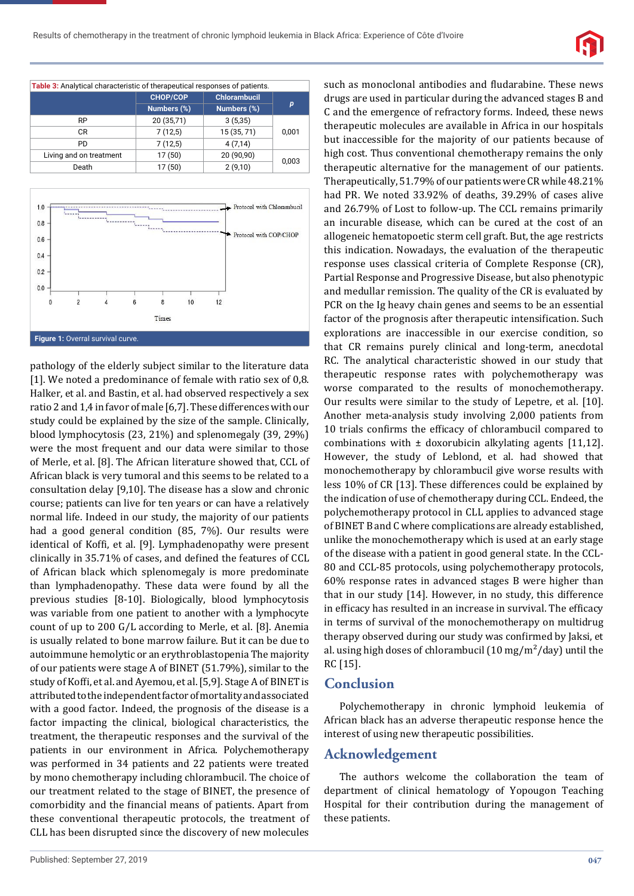

| Table 3: Analytical characteristic of therapeutical responses of patients. |             |                     |       |
|----------------------------------------------------------------------------|-------------|---------------------|-------|
|                                                                            | CHOP/COP    | <b>Chlorambucil</b> |       |
|                                                                            | Numbers (%) | Numbers (%)         | p     |
| <b>RP</b>                                                                  | 20 (35,71)  | 3(5,35)             | 0,001 |
| CR.                                                                        | 7(12,5)     | 15 (35, 71)         |       |
| <b>PD</b>                                                                  | 7(12,5)     | 4(7,14)             |       |
| Living and on treatment                                                    | 17(50)      | 20 (90,90)          |       |
| Death                                                                      | 17(50)      | 2(9,10)             | 0,003 |



pathology of the elderly subject similar to the literature data [1]. We noted a predominance of female with ratio sex of 0,8. Halker, et al. and Bastin, et al. had observed respectively a sex ratio 2 and 1,4 in favor of male [6,7]. These differences with our study could be explained by the size of the sample. Clinically, blood lymphocytosis (23, 21%) and splenomegaly (39, 29%) were the most frequent and our data were similar to those of Merle, et al. [8]. The African literature showed that, CCL of African black is very tumoral and this seems to be related to a consultation delay [9,10]. The disease has a slow and chronic course; patients can live for ten years or can have a relatively normal life. Indeed in our study, the majority of our patients had a good general condition (85, 7%). Our results were identical of Koffi, et al. [9]. Lymphadenopathy were present clinically in 35.71% of cases, and defined the features of CCL of African black which splenomegaly is more predominate than lymphadenopathy. These data were found by all the previous studies [8-10]. Biologically, blood lymphocytosis was variable from one patient to another with a lymphocyte count of up to 200 G/L according to Merle, et al. [8]. Anemia is usually related to bone marrow failure. But it can be due to autoimmune hemolytic or an erythroblastopenia The majority of our patients were stage A of BINET (51.79%), similar to the study of Koffi, et al. and Ayemou, et al. [5,9]. Stage A of BINET is attributed to the independent factor of mortality and associated with a good factor. Indeed, the prognosis of the disease is a factor impacting the clinical, biological characteristics, the treatment, the therapeutic responses and the survival of the patients in our environment in Africa. Polychemotherapy was performed in 34 patients and 22 patients were treated by mono chemotherapy including chlorambucil. The choice of our treatment related to the stage of BINET, the presence of comorbidity and the financial means of patients. Apart from these conventional therapeutic protocols, the treatment of CLL has been disrupted since the discovery of new molecules

such as monoclonal antibodies and fludarabine. These news drugs are used in particular during the advanced stages B and C and the emergence of refractory forms. Indeed, these news therapeutic molecules are available in Africa in our hospitals but inaccessible for the majority of our patients because of high cost. Thus conventional chemotherapy remains the only therapeutic alternative for the management of our patients. Therapeutically, 51.79% of our patients were CR while 48.21% had PR. We noted 33.92% of deaths, 39.29% of cases alive and 26.79% of Lost to follow-up. The CCL remains primarily an incurable disease, which can be cured at the cost of an allogeneic hematopoetic sterm cell graft. But, the age restricts this indication. Nowadays, the evaluation of the therapeutic response uses classical criteria of Complete Response (CR), Partial Response and Progressive Disease, but also phenotypic and medullar remission. The quality of the CR is evaluated by PCR on the Ig heavy chain genes and seems to be an essential factor of the prognosis after therapeutic intensification. Such explorations are inaccessible in our exercise condition, so that CR remains purely clinical and long-term, anecdotal RC. The analytical characteristic showed in our study that therapeutic response rates with polychemotherapy was worse comparated to the results of monochemotherapy. Our results were similar to the study of Lepetre, et al. [10]. Another meta-analysis study involving 2,000 patients from 10 trials confirms the efficacy of chlorambucil compared to combinations with  $\pm$  doxorubicin alkylating agents [11,12]. However, the study of Leblond, et al. had showed that monochemotherapy by chlorambucil give worse results with less 10% of CR [13]. These differences could be explained by the indication of use of chemotherapy during CCL. Endeed, the polychemotherapy protocol in CLL applies to advanced stage of BINET B and C where complications are already established, unlike the monochemotherapy which is used at an early stage of the disease with a patient in good general state. In the CCL-80 and CCL-85 protocols, using polychemotherapy protocols, 60% response rates in advanced stages B were higher than that in our study [14]. However, in no study, this difference in efficacy has resulted in an increase in survival. The efficacy in terms of survival of the monochemotherapy on multidrug therapy observed during our study was confirmed by Jaksi, et al. using high doses of chlorambucil  $(10 \text{ mg/m}^2/\text{day})$  until the RC [15].

#### **Conclusion**

Polychemotherapy in chronic lymphoid leukemia of African black has an adverse therapeutic response hence the interest of using new therapeutic possibilities.

#### **Acknowledgement**

The authors welcome the collaboration the team of department of clinical hematology of Yopougon Teaching Hospital for their contribution during the management of these patients.